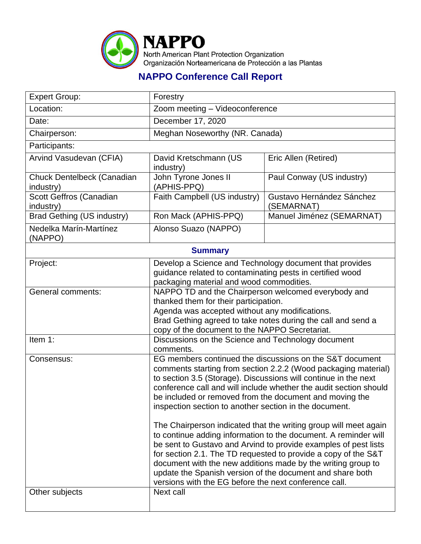

## **NAPPO Conference Call Report**

| <b>Expert Group:</b>                    | Forestry                                                                                                                                                                                                                                                                                                                                                                                                                                                                                                                                                                                                                                                                                                                                                                                                                                                               |                                         |  |  |
|-----------------------------------------|------------------------------------------------------------------------------------------------------------------------------------------------------------------------------------------------------------------------------------------------------------------------------------------------------------------------------------------------------------------------------------------------------------------------------------------------------------------------------------------------------------------------------------------------------------------------------------------------------------------------------------------------------------------------------------------------------------------------------------------------------------------------------------------------------------------------------------------------------------------------|-----------------------------------------|--|--|
| Location:                               | Zoom meeting - Videoconference                                                                                                                                                                                                                                                                                                                                                                                                                                                                                                                                                                                                                                                                                                                                                                                                                                         |                                         |  |  |
| Date:                                   | December 17, 2020                                                                                                                                                                                                                                                                                                                                                                                                                                                                                                                                                                                                                                                                                                                                                                                                                                                      |                                         |  |  |
| Chairperson:                            | Meghan Noseworthy (NR. Canada)                                                                                                                                                                                                                                                                                                                                                                                                                                                                                                                                                                                                                                                                                                                                                                                                                                         |                                         |  |  |
| Participants:                           |                                                                                                                                                                                                                                                                                                                                                                                                                                                                                                                                                                                                                                                                                                                                                                                                                                                                        |                                         |  |  |
| Arvind Vasudevan (CFIA)                 | David Kretschmann (US<br>industry)                                                                                                                                                                                                                                                                                                                                                                                                                                                                                                                                                                                                                                                                                                                                                                                                                                     | Eric Allen (Retired)                    |  |  |
| Chuck Dentelbeck (Canadian<br>industry) | John Tyrone Jones II<br>(APHIS-PPQ)                                                                                                                                                                                                                                                                                                                                                                                                                                                                                                                                                                                                                                                                                                                                                                                                                                    | Paul Conway (US industry)               |  |  |
| Scott Geffros (Canadian<br>industry)    | Faith Campbell (US industry)                                                                                                                                                                                                                                                                                                                                                                                                                                                                                                                                                                                                                                                                                                                                                                                                                                           | Gustavo Hernández Sánchez<br>(SEMARNAT) |  |  |
| <b>Brad Gething (US industry)</b>       | Ron Mack (APHIS-PPQ)                                                                                                                                                                                                                                                                                                                                                                                                                                                                                                                                                                                                                                                                                                                                                                                                                                                   | Manuel Jiménez (SEMARNAT)               |  |  |
| Nedelka Marín-Martínez<br>(NAPPO)       | Alonso Suazo (NAPPO)                                                                                                                                                                                                                                                                                                                                                                                                                                                                                                                                                                                                                                                                                                                                                                                                                                                   |                                         |  |  |
| <b>Summary</b>                          |                                                                                                                                                                                                                                                                                                                                                                                                                                                                                                                                                                                                                                                                                                                                                                                                                                                                        |                                         |  |  |
| Project:                                | Develop a Science and Technology document that provides<br>guidance related to contaminating pests in certified wood<br>packaging material and wood commodities.                                                                                                                                                                                                                                                                                                                                                                                                                                                                                                                                                                                                                                                                                                       |                                         |  |  |
| General comments:                       | NAPPO TD and the Chairperson welcomed everybody and<br>thanked them for their participation.<br>Agenda was accepted without any modifications.<br>Brad Gething agreed to take notes during the call and send a<br>copy of the document to the NAPPO Secretariat.                                                                                                                                                                                                                                                                                                                                                                                                                                                                                                                                                                                                       |                                         |  |  |
| Item 1:                                 | Discussions on the Science and Technology document<br>comments.                                                                                                                                                                                                                                                                                                                                                                                                                                                                                                                                                                                                                                                                                                                                                                                                        |                                         |  |  |
| Consensus:                              | EG members continued the discussions on the S&T document<br>comments starting from section 2.2.2 (Wood packaging material)<br>to section 3.5 (Storage). Discussions will continue in the next<br>conference call and will include whether the audit section should<br>be included or removed from the document and moving the<br>inspection section to another section in the document.<br>The Chairperson indicated that the writing group will meet again<br>to continue adding information to the document. A reminder will<br>be sent to Gustavo and Arvind to provide examples of pest lists<br>for section 2.1. The TD requested to provide a copy of the S&T<br>document with the new additions made by the writing group to<br>update the Spanish version of the document and share both<br>versions with the EG before the next conference call.<br>Next call |                                         |  |  |
| Other subjects                          |                                                                                                                                                                                                                                                                                                                                                                                                                                                                                                                                                                                                                                                                                                                                                                                                                                                                        |                                         |  |  |